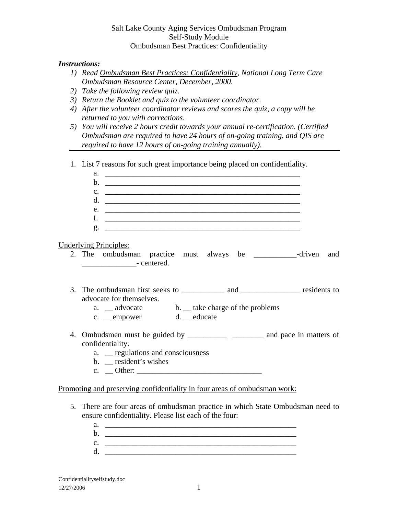# Salt Lake County Aging Services Ombudsman Program Self-Study Module Ombudsman Best Practices: Confidentiality

## *Instructions:*

- *1) Read Ombudsman Best Practices: Confidentiality, National Long Term Care Ombudsman Resource Center, December, 2000*.
- *2) Take the following review quiz*.
- *3) Return the Booklet and quiz to the volunteer coordinator*.
- *4) After the volunteer coordinator reviews and scores the quiz, a copy will be returned to you with corrections*.
- *5) You will receive 2 hours credit towards your annual re-certification. (Certified Ombudsman are required to have 24 hours of on-going training, and QIS are required to have 12 hours of on-going training annually).*
- 1. List 7 reasons for such great importance being placed on confidentiality.

| a.                                                                                                                         |     |
|----------------------------------------------------------------------------------------------------------------------------|-----|
| b.<br><u> 1989 - Jan Samuel Barbara, margaret eta biztanleria (h. 1982).</u>                                               |     |
| $c.$ $\overline{\phantom{a}}$                                                                                              |     |
| d.<br><u> 1989 - Jan Alexander Alexander (h. 1989).</u>                                                                    |     |
| e.<br><u> 1989 - Johann Stoff, amerikansk politiker (d. 1989)</u>                                                          |     |
| f.<br><u> 1980 - Andrea Stadt Britain, fransk politik (d. 1980)</u>                                                        |     |
|                                                                                                                            |     |
| <b>Underlying Principles:</b><br>2. The ombudsman practice must always be ___________-driven                               | and |
| advocate for themselves.<br>a. _ advocate b. _ take charge of the problems<br>c. _ empower d. _ educate                    |     |
| confidentiality.<br>a. <u>egulations</u> and consciousness<br>b. _ resident's wishes<br>c. $\angle$ Other: $\angle$ Other: |     |
| <u>Promoting and preserving confidentiality in four areas of ombudsman work:</u>                                           |     |
| 5. There are four areas of ombudsman practice in which State Ombudsman need to                                             |     |

- ensure confidentiality. Please list each of the four:
	- a. \_\_\_\_\_\_\_\_\_\_\_\_\_\_\_\_\_\_\_\_\_\_\_\_\_\_\_\_\_\_\_\_\_\_\_\_\_\_\_\_\_\_\_\_\_\_\_\_\_
	- b. \_\_\_\_\_\_\_\_\_\_\_\_\_\_\_\_\_\_\_\_\_\_\_\_\_\_\_\_\_\_\_\_\_\_\_\_\_\_\_\_\_\_\_\_\_\_\_\_\_
	- $c.$
	- $d.$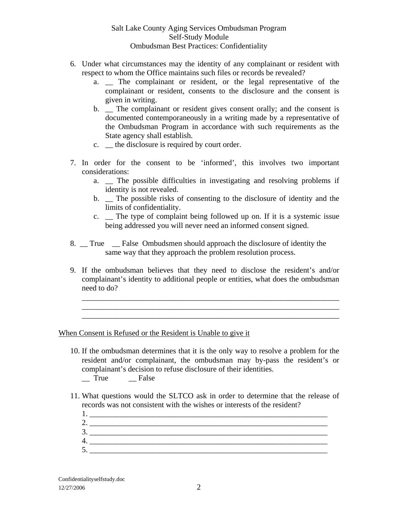# Salt Lake County Aging Services Ombudsman Program Self-Study Module Ombudsman Best Practices: Confidentiality

- 6. Under what circumstances may the identity of any complainant or resident with respect to whom the Office maintains such files or records be revealed?
	- a. \_\_ The complainant or resident, or the legal representative of the complainant or resident, consents to the disclosure and the consent is given in writing.
	- b. \_ The complainant or resident gives consent orally; and the consent is documented contemporaneously in a writing made by a representative of the Ombudsman Program in accordance with such requirements as the State agency shall establish.
	- c. \_\_ the disclosure is required by court order.
- 7. In order for the consent to be 'informed', this involves two important considerations:
	- a. \_\_ The possible difficulties in investigating and resolving problems if identity is not revealed.
	- b. \_\_ The possible risks of consenting to the disclosure of identity and the limits of confidentiality.
	- c. The type of complaint being followed up on. If it is a systemic issue being addressed you will never need an informed consent signed.
- 8. True False Ombudsmen should approach the disclosure of identity the same way that they approach the problem resolution process.
- 9. If the ombudsman believes that they need to disclose the resident's and/or complainant's identity to additional people or entities, what does the ombudsman need to do?

\_\_\_\_\_\_\_\_\_\_\_\_\_\_\_\_\_\_\_\_\_\_\_\_\_\_\_\_\_\_\_\_\_\_\_\_\_\_\_\_\_\_\_\_\_\_\_\_\_\_\_\_\_\_\_\_\_\_\_\_\_\_\_\_\_\_ \_\_\_\_\_\_\_\_\_\_\_\_\_\_\_\_\_\_\_\_\_\_\_\_\_\_\_\_\_\_\_\_\_\_\_\_\_\_\_\_\_\_\_\_\_\_\_\_\_\_\_\_\_\_\_\_\_\_\_\_\_\_\_\_\_\_ \_\_\_\_\_\_\_\_\_\_\_\_\_\_\_\_\_\_\_\_\_\_\_\_\_\_\_\_\_\_\_\_\_\_\_\_\_\_\_\_\_\_\_\_\_\_\_\_\_\_\_\_\_\_\_\_\_\_\_\_\_\_\_\_\_\_

When Consent is Refused or the Resident is Unable to give it

- 10. If the ombudsman determines that it is the only way to resolve a problem for the resident and/or complainant, the ombudsman may by-pass the resident's or complainant's decision to refuse disclosure of their identities. \_\_ True \_\_ False
- 11. What questions would the SLTCO ask in order to determine that the release of records was not consistent with the wishes or interests of the resident?
	- 1.  $\frac{1}{2}$  .  $\frac{1}{2}$  .  $\frac{1}{2}$  .  $\frac{1}{2}$  ,  $\frac{1}{2}$  ,  $\frac{1}{2}$  ,  $\frac{1}{2}$  ,  $\frac{1}{2}$  ,  $\frac{1}{2}$  ,  $\frac{1}{2}$  ,  $\frac{1}{2}$  ,  $\frac{1}{2}$  ,  $\frac{1}{2}$  ,  $\frac{1}{2}$  ,  $\frac{1}{2}$  ,  $\frac{1}{2}$  ,  $\frac{1}{2}$  ,  $\frac{1}{2}$  ,  $\$ 2.  $\frac{1}{2}$ 3. \_\_\_\_\_\_\_\_\_\_\_\_\_\_\_\_\_\_\_\_\_\_\_\_\_\_\_\_\_\_\_\_\_\_\_\_\_\_\_\_\_\_\_\_\_\_\_\_\_\_\_\_\_\_\_\_\_\_\_\_\_  $4.$ 5. \_\_\_\_\_\_\_\_\_\_\_\_\_\_\_\_\_\_\_\_\_\_\_\_\_\_\_\_\_\_\_\_\_\_\_\_\_\_\_\_\_\_\_\_\_\_\_\_\_\_\_\_\_\_\_\_\_\_\_\_\_